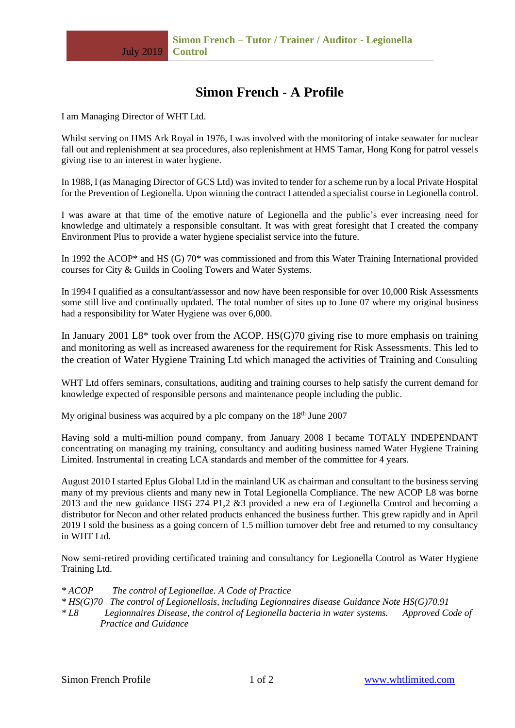# **Simon French - A Profile**

I am Managing Director of WHT Ltd.

Whilst serving on HMS Ark Royal in 1976, I was involved with the monitoring of intake seawater for nuclear fall out and replenishment at sea procedures, also replenishment at HMS Tamar, Hong Kong for patrol vessels giving rise to an interest in water hygiene.

In 1988, I (as Managing Director of GCS Ltd) was invited to tender for a scheme run by a local Private Hospital for the Prevention of Legionella. Upon winning the contract I attended a specialist course in Legionella control.

I was aware at that time of the emotive nature of Legionella and the public's ever increasing need for knowledge and ultimately a responsible consultant. It was with great foresight that I created the company Environment Plus to provide a water hygiene specialist service into the future.

In 1992 the ACOP\* and HS (G) 70\* was commissioned and from this Water Training International provided courses for City & Guilds in Cooling Towers and Water Systems.

In 1994 I qualified as a consultant/assessor and now have been responsible for over 10,000 Risk Assessments some still live and continually updated. The total number of sites up to June 07 where my original business had a responsibility for Water Hygiene was over 6,000.

In January 2001 L8\* took over from the ACOP. HS(G)70 giving rise to more emphasis on training and monitoring as well as increased awareness for the requirement for Risk Assessments. This led to the creation of Water Hygiene Training Ltd which managed the activities of Training and Consulting

WHT Ltd offers seminars, consultations, auditing and training courses to help satisfy the current demand for knowledge expected of responsible persons and maintenance people including the public.

My original business was acquired by a plc company on the  $18<sup>th</sup>$  June 2007

Having sold a multi-million pound company, from January 2008 I became TOTALY INDEPENDANT concentrating on managing my training, consultancy and auditing business named Water Hygiene Training Limited. Instrumental in creating LCA standards and member of the committee for 4 years.

August 2010 I started Eplus Global Ltd in the mainland UK as chairman and consultant to the business serving many of my previous clients and many new in Total Legionella Compliance. The new ACOP L8 was borne 2013 and the new guidance HSG 274 P1,2 &3 provided a new era of Legionella Control and becoming a distributor for Necon and other related products enhanced the business further. This grew rapidly and in April 2019 I sold the business as a going concern of 1.5 million turnover debt free and returned to my consultancy in WHT Ltd.

Now semi-retired providing certificated training and consultancy for Legionella Control as Water Hygiene Training Ltd.

- *\* ACOP The control of Legionellae. A Code of Practice*
- *\* HS(G)70 The control of Legionellosis, including Legionnaires disease Guidance Note HS(G)70.91*
- *\* L8 Legionnaires Disease, the control of Legionella bacteria in water systems. Approved Code of Practice and Guidance*